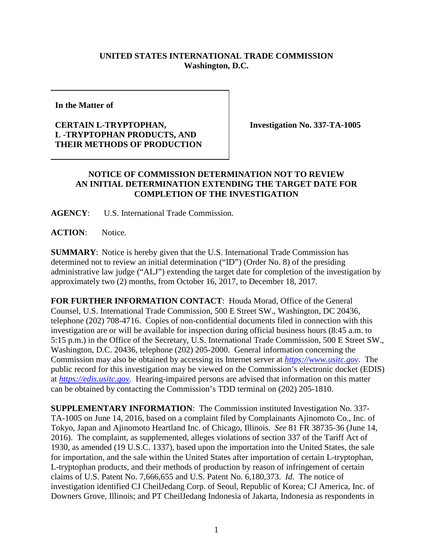## **UNITED STATES INTERNATIONAL TRADE COMMISSION Washington, D.C.**

**In the Matter of**

## **CERTAIN L-TRYPTOPHAN, L -TRYPTOPHAN PRODUCTS, AND THEIR METHODS OF PRODUCTION**

**Investigation No. 337-TA-1005**

## **NOTICE OF COMMISSION DETERMINATION NOT TO REVIEW AN INITIAL DETERMINATION EXTENDING THE TARGET DATE FOR COMPLETION OF THE INVESTIGATION**

**AGENCY**: U.S. International Trade Commission.

**ACTION**: Notice.

**SUMMARY**: Notice is hereby given that the U.S. International Trade Commission has determined not to review an initial determination ("ID") (Order No. 8) of the presiding administrative law judge ("ALJ") extending the target date for completion of the investigation by approximately two (2) months, from October 16, 2017, to December 18, 2017.

**FOR FURTHER INFORMATION CONTACT**: Houda Morad, Office of the General Counsel, U.S. International Trade Commission, 500 E Street SW., Washington, DC 20436, telephone (202) 708-4716. Copies of non-confidential documents filed in connection with this investigation are or will be available for inspection during official business hours (8:45 a.m. to 5:15 p.m.) in the Office of the Secretary, U.S. International Trade Commission, 500 E Street SW., Washington, D.C. 20436, telephone (202) 205-2000. General information concerning the Commission may also be obtained by accessing its Internet server at *[https://www.usitc.gov](https://www.usitc.gov/)*. The public record for this investigation may be viewed on the Commission's electronic docket (EDIS) at *[https://edis.usitc.gov](http://edis.usitc.gov/)*. Hearing-impaired persons are advised that information on this matter can be obtained by contacting the Commission's TDD terminal on (202) 205-1810.

**SUPPLEMENTARY INFORMATION**: The Commission instituted Investigation No. 337- TA-1005 on June 14, 2016, based on a complaint filed by Complainants Ajinomoto Co., Inc. of Tokyo, Japan and Ajinomoto Heartland Inc. of Chicago, Illinois. *See* 81 FR 38735-36 (June 14, 2016). The complaint, as supplemented, alleges violations of section 337 of the Tariff Act of 1930, as amended (19 U.S.C. 1337), based upon the importation into the United States, the sale for importation, and the sale within the United States after importation of certain L-tryptophan, L-tryptophan products, and their methods of production by reason of infringement of certain claims of U.S. Patent No. 7,666,655 and U.S. Patent No. 6,180,373. *Id.* The notice of investigation identified CJ CheilJedang Corp. of Seoul, Republic of Korea; CJ America, Inc. of Downers Grove, Illinois; and PT CheilJedang Indonesia of Jakarta, Indonesia as respondents in